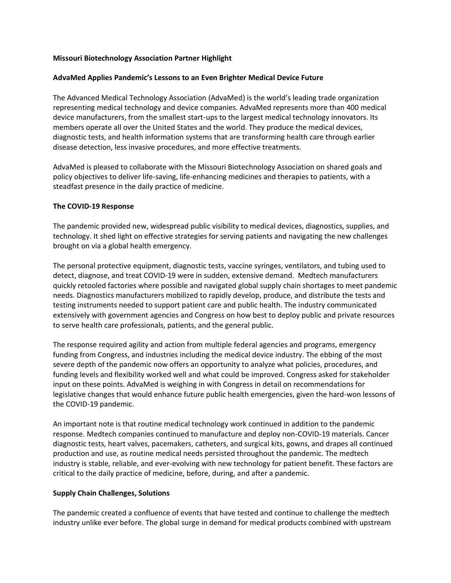# **Missouri Biotechnology Association Partner Highlight**

### **AdvaMed Applies Pandemic's Lessons to an Even Brighter Medical Device Future**

The Advanced Medical Technology Association (AdvaMed) is the world's leading trade organization representing medical technology and device companies. AdvaMed represents more than 400 medical device manufacturers, from the smallest start-ups to the largest medical technology innovators. Its members operate all over the United States and the world. They produce the medical devices, diagnostic tests, and health information systems that are transforming health care through earlier disease detection, less invasive procedures, and more effective treatments.

AdvaMed is pleased to collaborate with the Missouri Biotechnology Association on shared goals and policy objectives to deliver life-saving, life-enhancing medicines and therapies to patients, with a steadfast presence in the daily practice of medicine.

#### **The COVID-19 Response**

The pandemic provided new, widespread public visibility to medical devices, diagnostics, supplies, and technology. It shed light on effective strategies for serving patients and navigating the new challenges brought on via a global health emergency.

The personal protective equipment, diagnostic tests, vaccine syringes, ventilators, and tubing used to detect, diagnose, and treat COVID-19 were in sudden, extensive demand. Medtech manufacturers quickly retooled factories where possible and navigated global supply chain shortages to meet pandemic needs. Diagnostics manufacturers mobilized to rapidly develop, produce, and distribute the tests and testing instruments needed to support patient care and public health. The industry communicated extensively with government agencies and Congress on how best to deploy public and private resources to serve health care professionals, patients, and the general public.

The response required agility and action from multiple federal agencies and programs, emergency funding from Congress, and industries including the medical device industry. The ebbing of the most severe depth of the pandemic now offers an opportunity to analyze what policies, procedures, and funding levels and flexibility worked well and what could be improved. Congress asked for stakeholder input on these points. AdvaMed is weighing in with Congress in detail on recommendations for legislative changes that would enhance future public health emergencies, given the hard-won lessons of the COVID-19 pandemic.

An important note is that routine medical technology work continued in addition to the pandemic response. Medtech companies continued to manufacture and deploy non-COVID-19 materials. Cancer diagnostic tests, heart valves, pacemakers, catheters, and surgical kits, gowns, and drapes all continued production and use, as routine medical needs persisted throughout the pandemic. The medtech industry is stable, reliable, and ever-evolving with new technology for patient benefit. These factors are critical to the daily practice of medicine, before, during, and after a pandemic.

# **Supply Chain Challenges, Solutions**

The pandemic created a confluence of events that have tested and continue to challenge the medtech industry unlike ever before. The global surge in demand for medical products combined with upstream